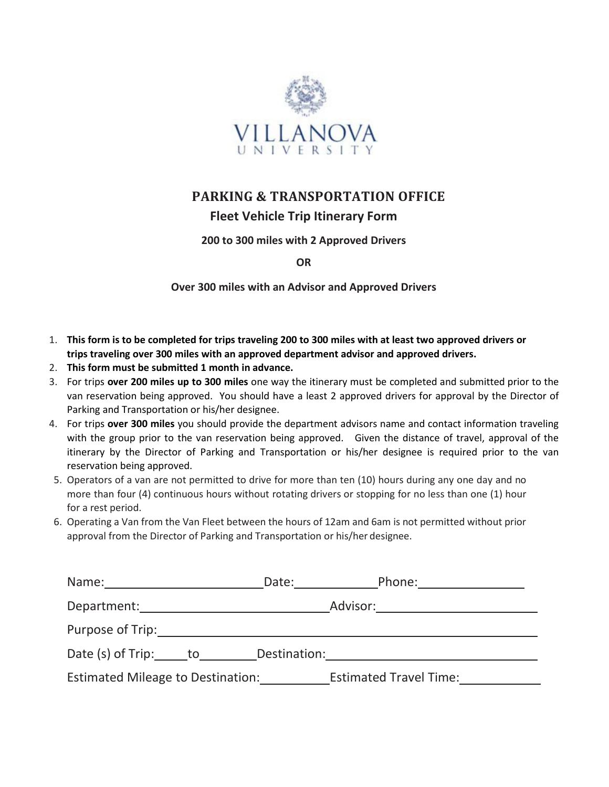

## **PARKING & TRANSPORTATION OFFICE Fleet Vehicle Trip Itinerary Form**

#### **200 to 300 miles with 2 Approved Drivers**

**OR**

**Over 300 miles with an Advisor and Approved Drivers**

- 1. **This form is to be completed for trips traveling 200 to 300 miles with at least two approved drivers or trips traveling over 300 miles with an approved department advisor and approved drivers.**
- 2. **This form must be submitted 1 month in advance.**
- 3. For trips **over 200 miles up to 300 miles** one way the itinerary must be completed and submitted prior to the van reservation being approved. You should have a least 2 approved drivers for approval by the Director of Parking and Transportation or his/her designee.
- 4. For trips **over 300 miles** you should provide the department advisors name and contact information traveling with the group prior to the van reservation being approved. Given the distance of travel, approval of the itinerary by the Director of Parking and Transportation or his/her designee is required prior to the van reservation being approved.
- 5. Operators of a van are not permitted to drive for more than ten (10) hours during any one day and no more than four (4) continuous hours without rotating drivers or stopping for no less than one (1) hour for a rest period.
- 6. Operating a Van from the Van Fleet between the hours of 12am and 6am is not permitted without prior approval from the Director of Parking and Transportation or his/her designee.

| Name: 1990 1991 1992                     | Date:        |                               |
|------------------------------------------|--------------|-------------------------------|
| Department:                              |              | Advisor:                      |
| Purpose of Trip:                         |              |                               |
| Date (s) of Trip: to                     | Destination: |                               |
| <b>Estimated Mileage to Destination:</b> |              | <b>Estimated Travel Time:</b> |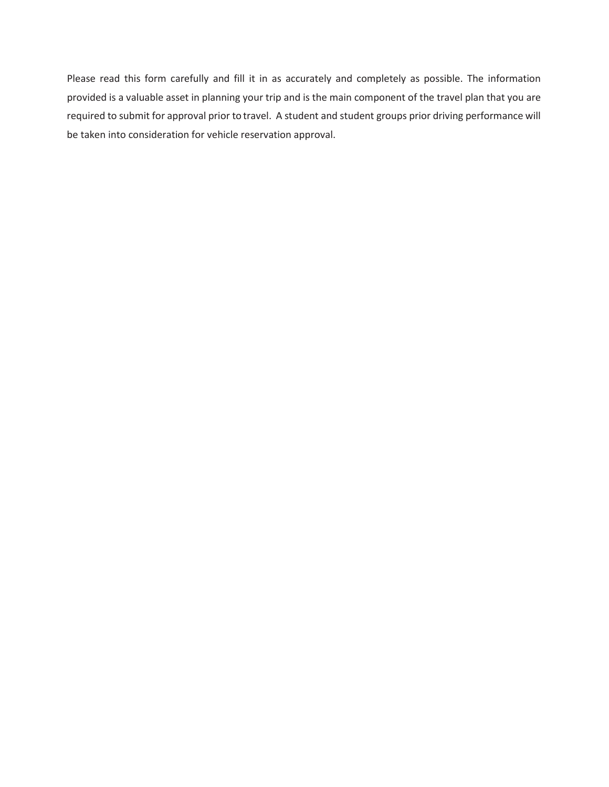Please read this form carefully and fill it in as accurately and completely as possible. The information provided is a valuable asset in planning your trip and is the main component of the travel plan that you are required to submit for approval prior to travel. A student and student groups prior driving performance will be taken into consideration for vehicle reservation approval.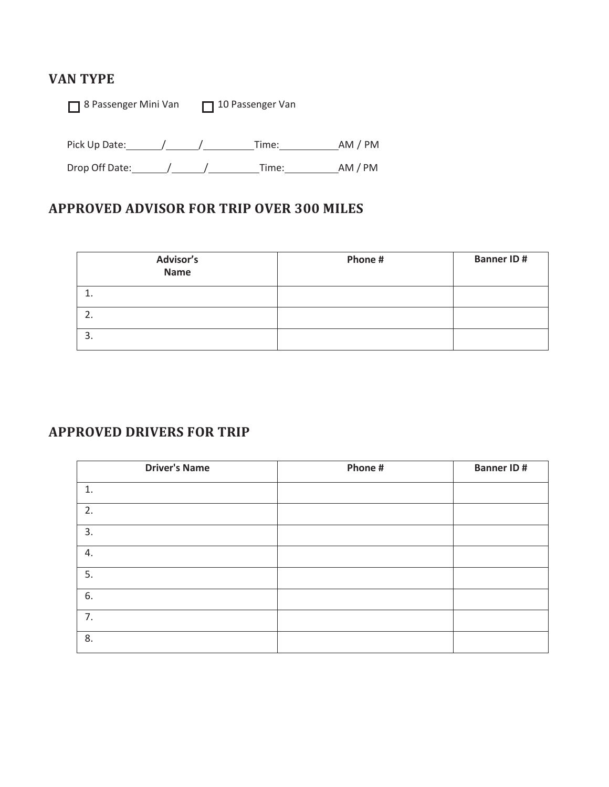## **VAN TYPE**

■ 8 Passenger Mini Van ■ 10 Passenger Van

Pick Up Date: / / / / / / Time: / / / AM / PM

Drop Off Date: / / Time: AM / PM

### **APPROVED ADVISOR FOR TRIP OVER 300 MILES**

| Advisor's<br><b>Name</b> | Phone # | <b>Banner ID#</b> |
|--------------------------|---------|-------------------|
|                          |         |                   |
|                          |         |                   |
| 3.                       |         |                   |

### **APPROVED DRIVERS FOR TRIP**

| <b>Driver's Name</b> | Phone # | <b>Banner ID#</b> |
|----------------------|---------|-------------------|
| 1.                   |         |                   |
| 2.                   |         |                   |
| 3.                   |         |                   |
| 4.                   |         |                   |
| 5.                   |         |                   |
| 6.                   |         |                   |
| 7.                   |         |                   |
| 8.                   |         |                   |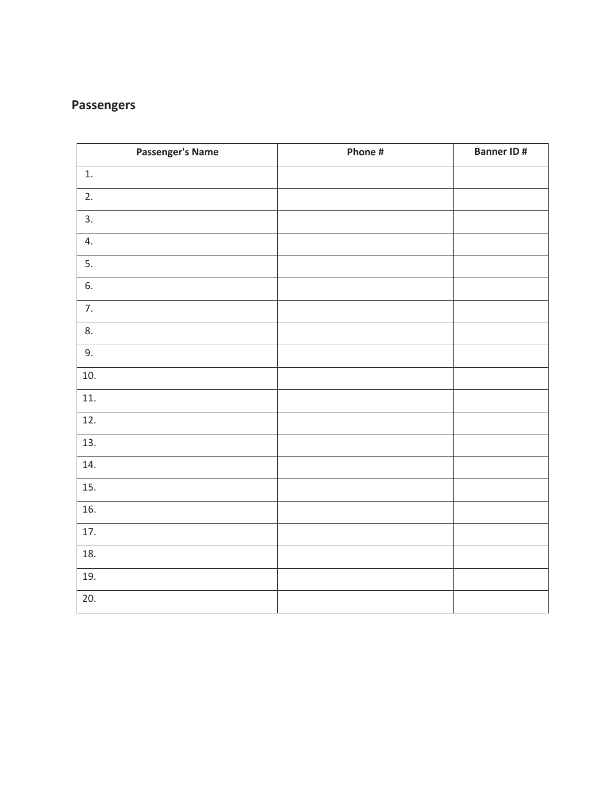## **Passengers**

| <b>Passenger's Name</b> | Phone # | <b>Banner ID#</b> |
|-------------------------|---------|-------------------|
| 1.                      |         |                   |
| 2.                      |         |                   |
| 3.                      |         |                   |
| 4.                      |         |                   |
| 5.                      |         |                   |
| 6.                      |         |                   |
| 7.                      |         |                   |
| 8.                      |         |                   |
| 9.                      |         |                   |
| 10.                     |         |                   |
| 11.                     |         |                   |
| 12.                     |         |                   |
| 13.                     |         |                   |
| 14.                     |         |                   |
| 15.                     |         |                   |
| 16.                     |         |                   |
| 17.                     |         |                   |
| 18.                     |         |                   |
| 19.                     |         |                   |
| 20.                     |         |                   |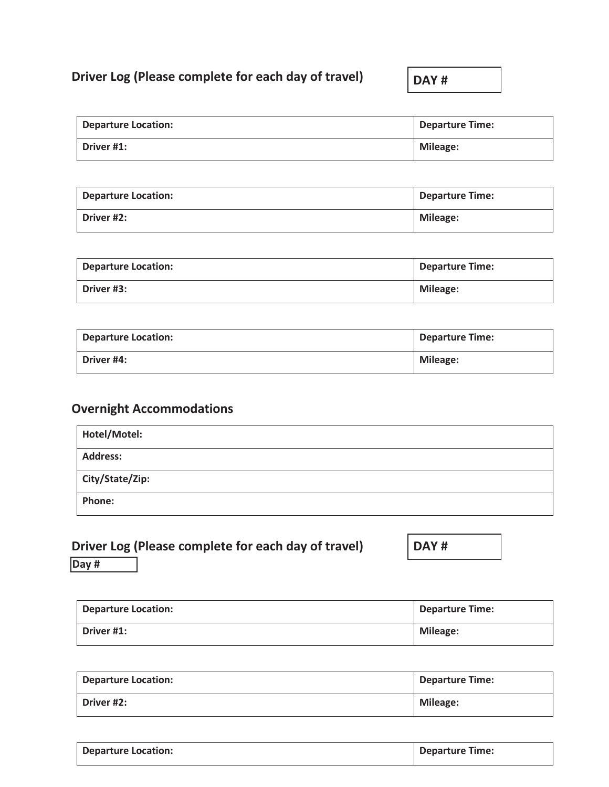## **Driver Log (Please complete for each day of travel)**

**DAY #**

| <b>Departure Location:</b> | <b>Departure Time:</b> |
|----------------------------|------------------------|
| Driver #1:                 | <b>Mileage:</b>        |

| <b>Departure Location:</b> | <b>Departure Time:</b> |
|----------------------------|------------------------|
| Driver #2:                 | <b>Mileage:</b>        |

| <b>Departure Location:</b> | <b>Departure Time:</b> |
|----------------------------|------------------------|
| Driver #3:                 | <b>Mileage:</b>        |

| <b>Departure Location:</b> | <b>Departure Time:</b> |
|----------------------------|------------------------|
| Driver #4:                 | Mileage:               |

# **Overnight Accommodations**

| Hotel/Motel:    |  |
|-----------------|--|
| <b>Address:</b> |  |
| City/State/Zip: |  |
| <b>Phone:</b>   |  |

|          | Driver Log (Please complete for each day of travel) |  |  |
|----------|-----------------------------------------------------|--|--|
| $D_{21}$ |                                                     |  |  |

**DAY #**

**Day #**

| <b>Departure Location:</b> | <b>Departure Time:</b> |
|----------------------------|------------------------|
| Driver #1:                 | <b>Mileage:</b>        |

| <b>Departure Location:</b> | <b>Departure Time:</b> |
|----------------------------|------------------------|
| Driver #2:                 | <b>Mileage:</b>        |

| <b>Departure Location:</b> | Departure Time: |
|----------------------------|-----------------|
|                            |                 |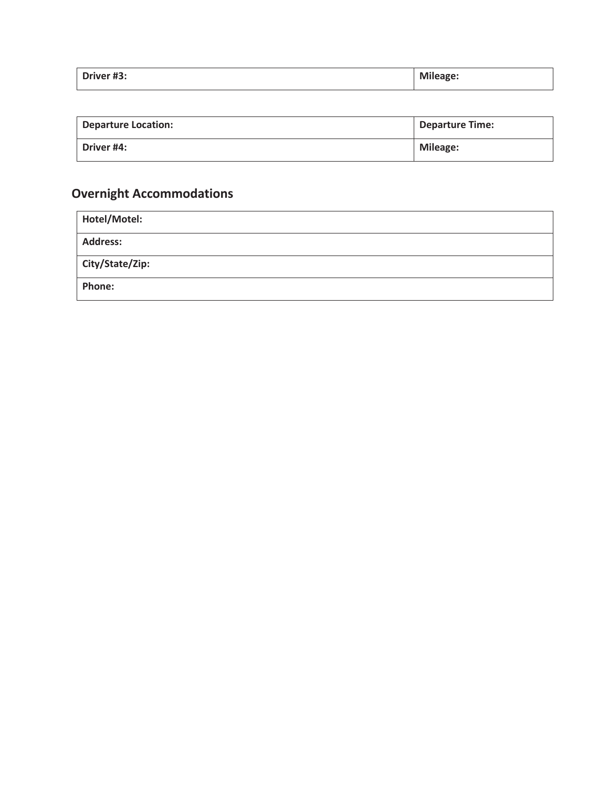| Driver #3:<br>______ | <b>Mileage:</b> |
|----------------------|-----------------|
|                      |                 |

| <b>Departure Location:</b> | <b>Departure Time:</b> |
|----------------------------|------------------------|
| Driver #4:                 | <b>Mileage:</b>        |

# **Overnight Accommodations**

| Hotel/Motel:    |  |
|-----------------|--|
| <b>Address:</b> |  |
| City/State/Zip: |  |
| Phone:          |  |